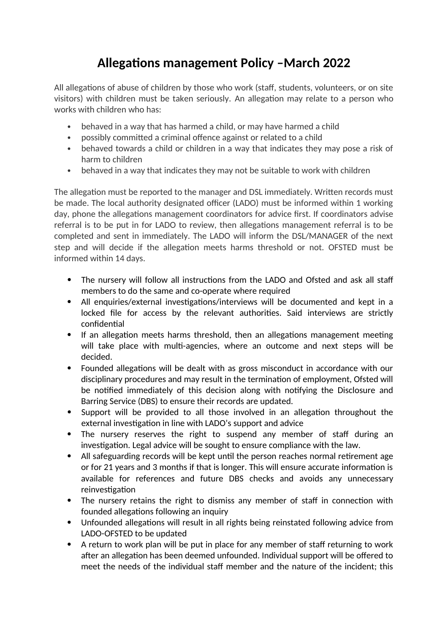## **Allegations management Policy –March 2022**

All allegations of abuse of children by those who work (staff, students, volunteers, or on site visitors) with children must be taken seriously. An allegation may relate to a person who works with children who has:

- behaved in a way that has harmed a child, or may have harmed a child
- possibly committed a criminal offence against or related to a child
- behaved towards a child or children in a way that indicates they may pose a risk of harm to children
- behaved in a way that indicates they may not be suitable to work with children

The allegation must be reported to the manager and DSL immediately. Written records must be made. The local authority designated officer (LADO) must be informed within 1 working day, phone the allegations management coordinators for advice first. If coordinators advise referral is to be put in for LADO to review, then allegations management referral is to be completed and sent in immediately. The LADO will inform the DSL/MANAGER of the next step and will decide if the allegation meets harms threshold or not. OFSTED must be informed within 14 days.

- The nursery will follow all instructions from the LADO and Ofsted and ask all staff members to do the same and co-operate where required
- All enquiries/external investigations/interviews will be documented and kept in a locked file for access by the relevant authorities. Said interviews are strictly confidential
- If an allegation meets harms threshold, then an allegations management meeting will take place with multi-agencies, where an outcome and next steps will be decided.
- Founded allegations will be dealt with as gross misconduct in accordance with our disciplinary procedures and may result in the termination of employment, Ofsted will be notified immediately of this decision along with notifying the Disclosure and Barring Service (DBS) to ensure their records are updated.
- Support will be provided to all those involved in an allegation throughout the external investigation in line with LADO's support and advice
- The nursery reserves the right to suspend any member of staff during an investigation. Legal advice will be sought to ensure compliance with the law.
- All safeguarding records will be kept until the person reaches normal retirement age or for 21 years and 3 months if that is longer. This will ensure accurate information is available for references and future DBS checks and avoids any unnecessary reinvestigation
- The nursery retains the right to dismiss any member of staff in connection with founded allegations following an inquiry
- Unfounded allegations will result in all rights being reinstated following advice from LADO-OFSTED to be updated
- A return to work plan will be put in place for any member of staff returning to work after an allegation has been deemed unfounded. Individual support will be offered to meet the needs of the individual staff member and the nature of the incident; this